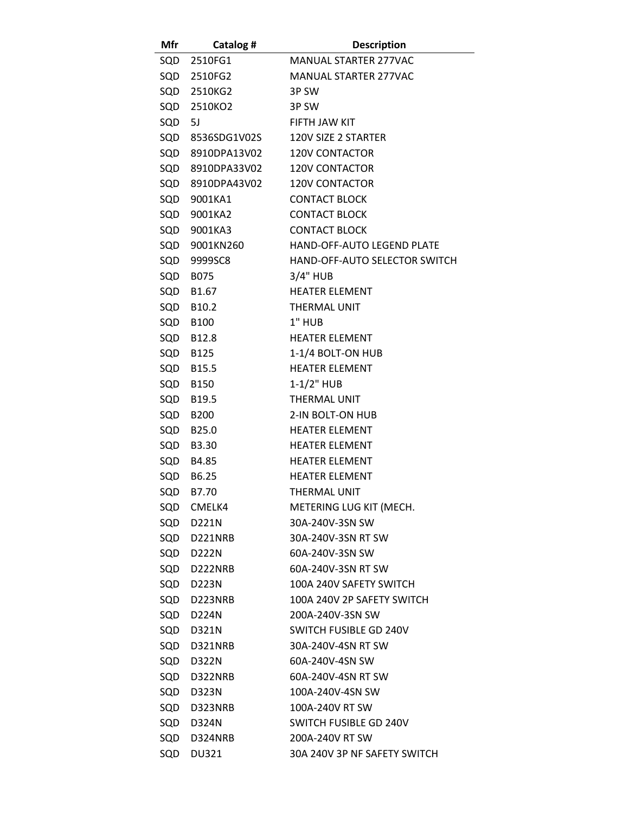| Mfr    | Catalog #        | <b>Description</b>            |
|--------|------------------|-------------------------------|
|        | SQD 2510FG1      | <b>MANUAL STARTER 277VAC</b>  |
|        | SQD 2510FG2      | <b>MANUAL STARTER 277VAC</b>  |
|        | SQD 2510KG2      | 3P SW                         |
| SQD    | 2510KO2          | 3P SW                         |
| SQD 5J |                  | FIFTH JAW KIT                 |
|        | SQD 8536SDG1V02S | 120V SIZE 2 STARTER           |
|        | SQD 8910DPA13V02 | <b>120V CONTACTOR</b>         |
|        | SQD 8910DPA33V02 | <b>120V CONTACTOR</b>         |
|        | SQD 8910DPA43V02 | <b>120V CONTACTOR</b>         |
| SQD    | 9001KA1          | <b>CONTACT BLOCK</b>          |
| SQD    | 9001KA2          | <b>CONTACT BLOCK</b>          |
| SQD    | 9001KA3          | <b>CONTACT BLOCK</b>          |
|        | SQD 9001KN260    | HAND-OFF-AUTO LEGEND PLATE    |
| SQD    | 9999SC8          | HAND-OFF-AUTO SELECTOR SWITCH |
| SQD    | <b>B075</b>      | 3/4" HUB                      |
| SQD    | B1.67            | <b>HEATER ELEMENT</b>         |
|        | SQD B10.2        | <b>THERMAL UNIT</b>           |
| SQD    | B100             | 1" HUB                        |
| SQD    | B12.8            | <b>HEATER ELEMENT</b>         |
| SQD    | B125             | 1-1/4 BOLT-ON HUB             |
|        | SQD B15.5        | <b>HEATER ELEMENT</b>         |
| SQD    | B150             | $1 - 1/2$ " HUB               |
| SQD    | B19.5            | THERMAL UNIT                  |
| SQD    | <b>B200</b>      | 2-IN BOLT-ON HUB              |
|        | SQD B25.0        | <b>HEATER ELEMENT</b>         |
| SQD    | B3.30            | <b>HEATER ELEMENT</b>         |
| SQD    | B4.85            | <b>HEATER ELEMENT</b>         |
| SQD    | B6.25            | <b>HEATER ELEMENT</b>         |
| SQD    | B7.70            | THERMAL UNIT                  |
|        | SQD CMELK4       | METERING LUG KIT (MECH.       |
|        | SQD D221N        | 30A-240V-3SN SW               |
|        | SQD D221NRB      | 30A-240V-3SN RT SW            |
|        | SQD D222N        | 60A-240V-3SN SW               |
|        | SQD D222NRB      | 60A-240V-3SN RT SW            |
|        | SQD D223N        | 100A 240V SAFETY SWITCH       |
|        | SQD D223NRB      | 100A 240V 2P SAFETY SWITCH    |
|        | SQD D224N        | 200A-240V-3SN SW              |
|        | SQD D321N        | SWITCH FUSIBLE GD 240V        |
|        | SQD D321NRB      | 30A-240V-4SN RT SW            |
| SQD    | D322N            | 60A-240V-4SN SW               |
|        | SQD D322NRB      | 60A-240V-4SN RT SW            |
|        | SQD D323N        | 100A-240V-4SN SW              |
|        | SQD D323NRB      | 100A-240V RT SW               |
| SQD    | D324N            | SWITCH FUSIBLE GD 240V        |
|        | SQD D324NRB      | 200A-240V RT SW               |
|        | SQD DU321        | 30A 240V 3P NF SAFETY SWITCH  |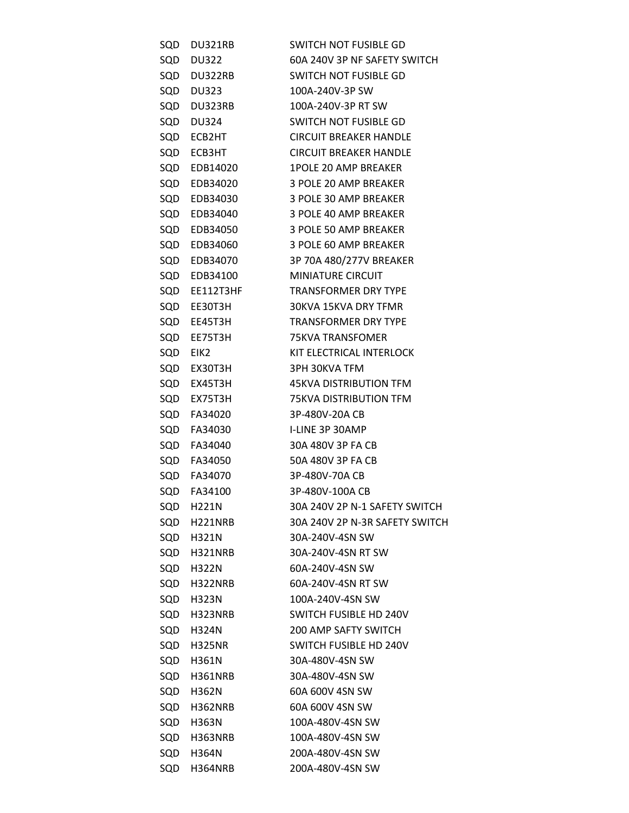| SQD | DU321RB       | SWITCH NOT FUSIBLE GD          |
|-----|---------------|--------------------------------|
| SQD | DU322         | 60A 240V 3P NF SAFETY SWITCH   |
|     | SQD DU322RB   | SWITCH NOT FUSIBLE GD          |
| SQD | <b>DU323</b>  | 100A-240V-3P SW                |
|     | SQD DU323RB   | 100A-240V-3P RT SW             |
| SQD | DU324         | SWITCH NOT FUSIBLE GD          |
|     | SQD ECB2HT    | <b>CIRCUIT BREAKER HANDLE</b>  |
| SQD | ECB3HT        | <b>CIRCUIT BREAKER HANDLE</b>  |
|     | SQD EDB14020  | <b>1POLE 20 AMP BREAKER</b>    |
|     | SQD EDB34020  | 3 POLE 20 AMP BREAKER          |
|     | SQD EDB34030  | 3 POLE 30 AMP BREAKER          |
|     | SQD EDB34040  | 3 POLE 40 AMP BREAKER          |
|     | SQD EDB34050  | 3 POLE 50 AMP BREAKER          |
|     | SQD EDB34060  | 3 POLE 60 AMP BREAKER          |
|     | SQD EDB34070  | 3P 70A 480/277V BREAKER        |
|     | SQD EDB34100  | <b>MINIATURE CIRCUIT</b>       |
|     | SQD EE112T3HF | <b>TRANSFORMER DRY TYPE</b>    |
|     | SQD EE30T3H   | 30KVA 15KVA DRY TFMR           |
|     | SQD EE45T3H   | <b>TRANSFORMER DRY TYPE</b>    |
|     | SQD EE75T3H   | 75KVA TRANSFOMER               |
|     | SQD EIK2      | KIT ELECTRICAL INTERLOCK       |
| SQD | EX30T3H       | 3PH 30KVA TFM                  |
|     | SQD EX45T3H   | 45KVA DISTRIBUTION TFM         |
| SQD | EX75T3H       | <b>75KVA DISTRIBUTION TFM</b>  |
|     | SQD FA34020   | 3P-480V-20A CB                 |
| SQD | FA34030       | I-LINE 3P 30AMP                |
|     | SQD FA34040   | 30A 480V 3P FA CB              |
|     | SQD FA34050   | 50A 480V 3P FA CB              |
|     | SQD FA34070   | 3P-480V-70A CB                 |
|     | SQD FA34100   | 3P-480V-100A CB                |
| SQD | H221N         | 30A 240V 2P N-1 SAFETY SWITCH  |
| SQD | H221NRB       | 30A 240V 2P N-3R SAFETY SWITCH |
|     | SQD H321N     | 30A-240V-4SN SW                |
|     | SQD H321NRB   | 30A-240V-4SN RT SW             |
|     | SQD H322N     | 60A-240V-4SN SW                |
| SQD | H322NRB       | 60A-240V-4SN RT SW             |
|     | SQD H323N     | 100A-240V-4SN SW               |
| SQD | H323NRB       | <b>SWITCH FUSIBLE HD 240V</b>  |
|     | SQD H324N     | <b>200 AMP SAFTY SWITCH</b>    |
|     | SQD H325NR    | SWITCH FUSIBLE HD 240V         |
|     | SQD H361N     | 30A-480V-4SN SW                |
| SQD | H361NRB       | 30A-480V-4SN SW                |
|     | SQD H362N     | 60A 600V 4SN SW                |
| SQD | H362NRB       | 60A 600V 4SN SW                |
|     | SQD H363N     | 100A-480V-4SN SW               |
| SQD | H363NRB       | 100A-480V-4SN SW               |
|     | SQD H364N     | 200A-480V-4SN SW               |
| SQD | H364NRB       | 200A-480V-4SN SW               |
|     |               |                                |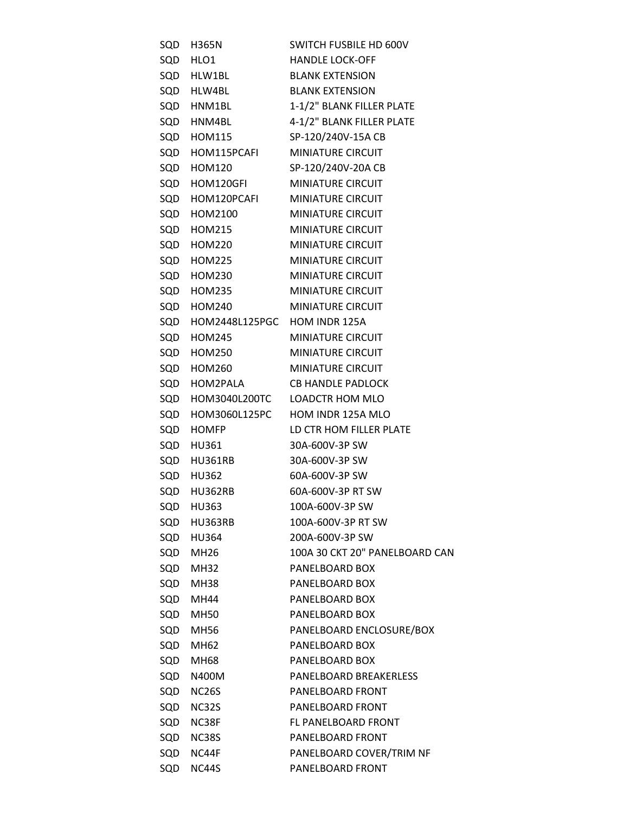| SQD | H365N                            | SWITCH FUSBILE HD 600V         |
|-----|----------------------------------|--------------------------------|
| SQD | HLO1                             | <b>HANDLE LOCK-OFF</b>         |
|     | SQD HLW1BL                       | <b>BLANK EXTENSION</b>         |
|     | SQD HLW4BL                       | <b>BLANK EXTENSION</b>         |
|     | SQD HNM1BL                       | 1-1/2" BLANK FILLER PLATE      |
| SQD | HNM4BL                           | 4-1/2" BLANK FILLER PLATE      |
|     | SQD HOM115                       | SP-120/240V-15A CB             |
|     | SQD HOM115PCAFI                  | <b>MINIATURE CIRCUIT</b>       |
|     | SQD HOM120                       | SP-120/240V-20A CB             |
|     | SQD HOM120GFI                    | <b>MINIATURE CIRCUIT</b>       |
|     | SQD HOM120PCAFI                  | <b>MINIATURE CIRCUIT</b>       |
|     | SQD HOM2100                      | <b>MINIATURE CIRCUIT</b>       |
|     | SQD HOM215                       | <b>MINIATURE CIRCUIT</b>       |
|     | SQD HOM220                       | <b>MINIATURE CIRCUIT</b>       |
|     | SQD HOM225                       | MINIATURE CIRCUIT              |
|     | SQD HOM230                       | <b>MINIATURE CIRCUIT</b>       |
|     | SQD HOM235                       | <b>MINIATURE CIRCUIT</b>       |
|     | SQD HOM240                       | <b>MINIATURE CIRCUIT</b>       |
|     | SQD HOM2448L125PGC HOM INDR 125A |                                |
| SQD | <b>HOM245</b>                    | <b>MINIATURE CIRCUIT</b>       |
|     | SQD HOM250                       | <b>MINIATURE CIRCUIT</b>       |
| SQD | <b>HOM260</b>                    | <b>MINIATURE CIRCUIT</b>       |
|     | SQD HOM2PALA                     | <b>CB HANDLE PADLOCK</b>       |
|     | SQD HOM3040L200TC                | <b>LOADCTR HOM MLO</b>         |
| SQD | HOM3060L125PC                    | HOM INDR 125A MLO              |
| SQD | <b>HOMFP</b>                     | LD CTR HOM FILLER PLATE        |
|     | SQD HU361                        | 30A-600V-3P SW                 |
|     | SQD HU361RB                      | 30A-600V-3P SW                 |
|     | SQD HU362                        | 60A-600V-3P SW                 |
|     | SQD HU362RB                      | 60A-600V-3P RT SW              |
| SQD | <b>HU363</b>                     | 100A-600V-3P SW                |
| SQD | HU363RB                          | 100A-600V-3P RT SW             |
|     | SQD HU364                        | 200A-600V-3P SW                |
| SQD | MH26                             | 100A 30 CKT 20" PANELBOARD CAN |
| SQD | MH32                             | PANELBOARD BOX                 |
| SQD | MH38                             | PANELBOARD BOX                 |
| SQD | MH44                             | PANELBOARD BOX                 |
| SQD | <b>MH50</b>                      | PANELBOARD BOX                 |
| SQD | <b>MH56</b>                      | PANELBOARD ENCLOSURE/BOX       |
| SQD | MH62                             | PANELBOARD BOX                 |
| SQD | MH68                             | PANELBOARD BOX                 |
| SQD | N400M                            | PANELBOARD BREAKERLESS         |
| SQD | <b>NC26S</b>                     | PANELBOARD FRONT               |
| SQD |                                  | PANELBOARD FRONT               |
| SQD | <b>NC32S</b><br>NC38F            | FL PANELBOARD FRONT            |
| SQD | <b>NC38S</b>                     | PANELBOARD FRONT               |
| SQD | NC44F                            | PANELBOARD COVER/TRIM NF       |
|     |                                  |                                |
| SQD | NC44S                            | PANELBOARD FRONT               |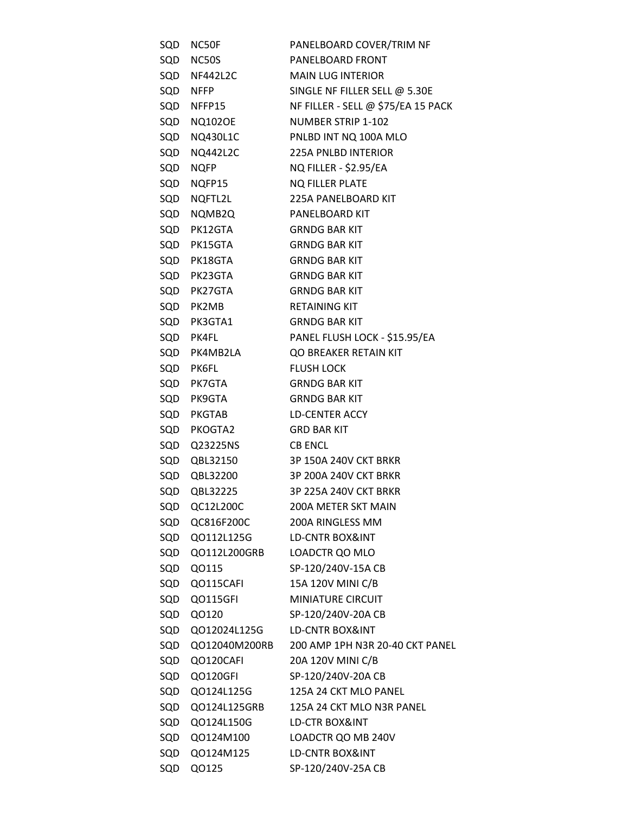| SQD | NC50F           | PANELBOARD COVER/TRIM NF           |
|-----|-----------------|------------------------------------|
| SQD | NC50S           | PANELBOARD FRONT                   |
|     | SQD NF442L2C    | <b>MAIN LUG INTERIOR</b>           |
|     | SQD NFFP        | SINGLE NF FILLER SELL @ 5.30E      |
|     | SQD NFFP15      | NF FILLER - SELL @ \$75/EA 15 PACK |
| SQD | <b>NQ102OE</b>  | <b>NUMBER STRIP 1-102</b>          |
|     | SQD NQ430L1C    | PNLBD INT NQ 100A MLO              |
| SQD | <b>NQ442L2C</b> | <b>225A PNLBD INTERIOR</b>         |
| SQD | <b>NQFP</b>     | <b>NQ FILLER - \$2.95/EA</b>       |
| SQD | NQFP15          | <b>NQ FILLER PLATE</b>             |
|     | SQD NQFTL2L     | 225A PANELBOARD KIT                |
| SQD | NQMB2Q          | PANELBOARD KIT                     |
|     | SQD PK12GTA     | <b>GRNDG BAR KIT</b>               |
|     | SQD PK15GTA     | <b>GRNDG BAR KIT</b>               |
|     | SQD PK18GTA     | <b>GRNDG BAR KIT</b>               |
|     | SQD PK23GTA     | <b>GRNDG BAR KIT</b>               |
|     | SQD PK27GTA     | <b>GRNDG BAR KIT</b>               |
|     | SQD PK2MB       | <b>RETAINING KIT</b>               |
|     | SQD PK3GTA1     | <b>GRNDG BAR KIT</b>               |
|     | SQD PK4FL       | PANEL FLUSH LOCK - \$15.95/EA      |
|     | SQD PK4MB2LA    | QO BREAKER RETAIN KIT              |
|     | SQD PK6FL       | <b>FLUSH LOCK</b>                  |
|     | SQD PK7GTA      | <b>GRNDG BAR KIT</b>               |
| SQD | PK9GTA          | <b>GRNDG BAR KIT</b>               |
|     | SQD PKGTAB      | LD-CENTER ACCY                     |
|     | SQD PKOGTA2     | <b>GRD BAR KIT</b>                 |
|     | SQD Q23225NS    | <b>CB ENCL</b>                     |
|     | SQD QBL32150    | 3P 150A 240V CKT BRKR              |
|     | SQD QBL32200    | 3P 200A 240V CKT BRKR              |
| SQD | QBL32225        | 3P 225A 240V CKT BRKR              |
| SQD | QC12L200C       | 200A METER SKT MAIN                |
| SQD | QC816F200C      | 200A RINGLESS MM                   |
|     | SQD Q0112L125G  | LD-CNTR BOX&INT                    |
| SQD | Q0112L200GRB    | LOADCTR QO MLO                     |
| SQD | Q0115           | SP-120/240V-15A CB                 |
| SQD | QO115CAFI       | 15A 120V MINI C/B                  |
| SQD | QO115GFI        | <b>MINIATURE CIRCUIT</b>           |
| SQD | Q0120           | SP-120/240V-20A CB                 |
| SQD | Q012024L125G    | <b>LD-CNTR BOX&amp;INT</b>         |
| SQD | QO12040M200RB   | 200 AMP 1PH N3R 20-40 CKT PANEL    |
| SQD | QO120CAFI       | 20A 120V MINI C/B                  |
| SQD | QO120GFI        | SP-120/240V-20A CB                 |
| SQD | Q0124L125G      | 125A 24 CKT MLO PANEL              |
| SQD | QO124L125GRB    | 125A 24 CKT MLO N3R PANEL          |
| SQD | Q0124L150G      | LD-CTR BOX&INT                     |
| SQD | Q0124M100       | LOADCTR QO MB 240V                 |
| SQD | Q0124M125       | LD-CNTR BOX&INT                    |
| SQD | Q0125           | SP-120/240V-25A CB                 |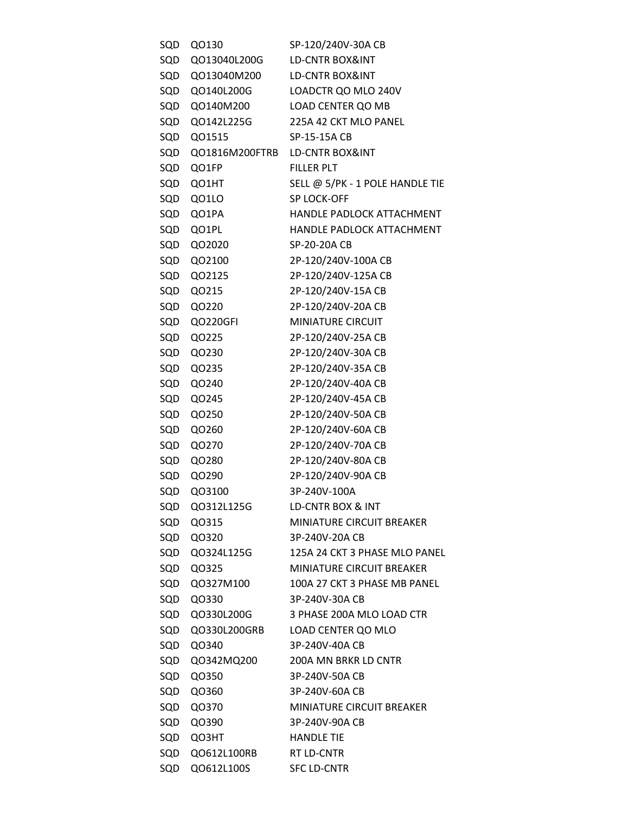| SQD | Q0130          | SP-120/240V-30A CB               |
|-----|----------------|----------------------------------|
| SQD | Q013040L200G   | <b>LD-CNTR BOX&amp;INT</b>       |
| SQD | QO13040M200    | LD-CNTR BOX&INT                  |
| SQD | Q0140L200G     | LOADCTR QO MLO 240V              |
| SQD | QO140M200      | LOAD CENTER QO MB                |
| SQD | Q0142L225G     | 225A 42 CKT MLO PANEL            |
| SQD | QO1515         | SP-15-15A CB                     |
| SQD | QO1816M200FTRB | LD-CNTR BOX&INT                  |
| SQD | QO1FP          | <b>FILLER PLT</b>                |
| SQD | QO1HT          | SELL @ 5/PK - 1 POLE HANDLE TIE  |
| SQD | QO1LO          | SP LOCK-OFF                      |
| SQD | QO1PA          | HANDLE PADLOCK ATTACHMENT        |
| SQD | QO1PL          | HANDLE PADLOCK ATTACHMENT        |
| SQD | QO2020         | SP-20-20A CB                     |
| SQD | QO2100         | 2P-120/240V-100A CB              |
| SQD | QO2125         | 2P-120/240V-125A CB              |
| SQD | QO215          | 2P-120/240V-15A CB               |
| SQD | QO220          | 2P-120/240V-20A CB               |
| SQD | QO220GFI       | <b>MINIATURE CIRCUIT</b>         |
| SQD | QO225          | 2P-120/240V-25A CB               |
| SQD | QO230          | 2P-120/240V-30A CB               |
| SQD | QO235          | 2P-120/240V-35A CB               |
| SQD | QO240          | 2P-120/240V-40A CB               |
| SQD | QO245          | 2P-120/240V-45A CB               |
| SQD | Q0250          | 2P-120/240V-50A CB               |
| SQD | QO260          | 2P-120/240V-60A CB               |
| SQD | Q0270          | 2P-120/240V-70A CB               |
| SQD | QO280          | 2P-120/240V-80A CB               |
| SQD | QO290          | 2P-120/240V-90A CB               |
| SQD | QO3100         | 3P-240V-100A                     |
| SQD | Q0312L125G     | LD-CNTR BOX & INT                |
| SQD | Q0315          | <b>MINIATURE CIRCUIT BREAKER</b> |
|     | SQD Q0320      | 3P-240V-20A CB                   |
| SQD | Q0324L125G     | 125A 24 CKT 3 PHASE MLO PANEL    |
| SQD | QO325          | <b>MINIATURE CIRCUIT BREAKER</b> |
| SQD | Q0327M100      | 100A 27 CKT 3 PHASE MB PANEL     |
| SQD | QO330          | 3P-240V-30A CB                   |
| SQD | Q0330L200G     | 3 PHASE 200A MLO LOAD CTR        |
| SQD | QO330L200GRB   | LOAD CENTER QO MLO               |
| SQD | Q0340          | 3P-240V-40A CB                   |
| SQD | Q0342MQ200     | 200A MN BRKR LD CNTR             |
| SQD | Q0350          | 3P-240V-50A CB                   |
| SQD | Q0360          | 3P-240V-60A CB                   |
| SQD | Q0370          | <b>MINIATURE CIRCUIT BREAKER</b> |
| SQD | QO390          | 3P-240V-90A CB                   |
| SQD | QO3HT          | <b>HANDLE TIE</b>                |
| SQD | QO612L100RB    | RT LD-CNTR                       |
| SQD | Q0612L100S     | <b>SFC LD-CNTR</b>               |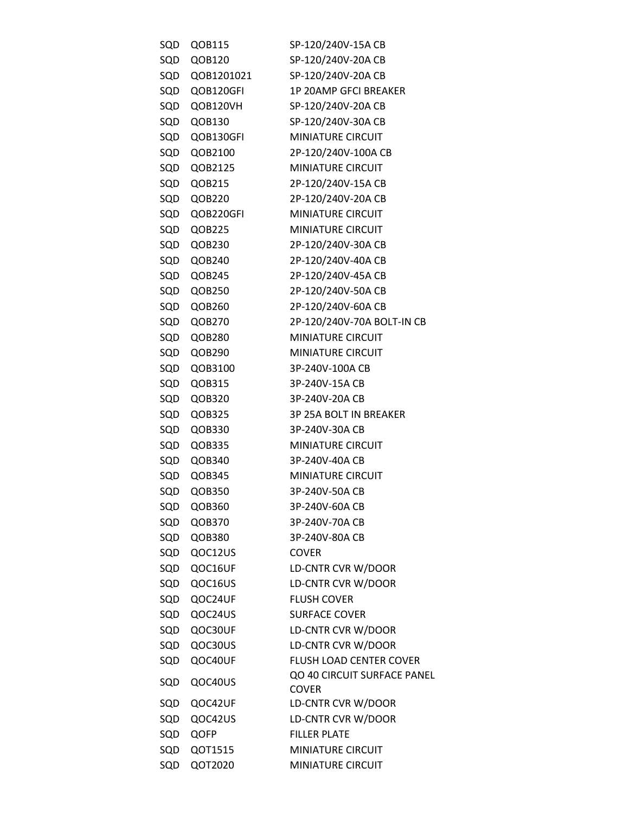| SQD | QOB115     | SP-120/240V-15A CB                          |
|-----|------------|---------------------------------------------|
| SQD | QOB120     | SP-120/240V-20A CB                          |
| SQD | QOB1201021 | SP-120/240V-20A CB                          |
| SQD | QOB120GFI  | <b>1P 20AMP GFCI BREAKER</b>                |
| SQD | QOB120VH   | SP-120/240V-20A CB                          |
| SQD | QOB130     | SP-120/240V-30A CB                          |
| SQD | QOB130GFI  | <b>MINIATURE CIRCUIT</b>                    |
| SQD | QOB2100    | 2P-120/240V-100A CB                         |
| SQD | QOB2125    | <b>MINIATURE CIRCUIT</b>                    |
| SQD | QOB215     | 2P-120/240V-15A CB                          |
| SQD | QOB220     | 2P-120/240V-20A CB                          |
| SQD | QOB220GFI  | <b>MINIATURE CIRCUIT</b>                    |
| SQD | QOB225     | <b>MINIATURE CIRCUIT</b>                    |
| SQD | QOB230     | 2P-120/240V-30A CB                          |
| SQD | QOB240     | 2P-120/240V-40A CB                          |
| SQD | QOB245     | 2P-120/240V-45A CB                          |
| SQD | QOB250     | 2P-120/240V-50A CB                          |
|     | SQD QOB260 | 2P-120/240V-60A CB                          |
| SQD | QOB270     | 2P-120/240V-70A BOLT-IN CB                  |
| SQD | QOB280     | <b>MINIATURE CIRCUIT</b>                    |
| SQD | QOB290     | <b>MINIATURE CIRCUIT</b>                    |
| SQD | QOB3100    | 3P-240V-100A CB                             |
|     |            |                                             |
| SQD | QOB315     | 3P-240V-15A CB                              |
| SQD | QOB320     | 3P-240V-20A CB                              |
| SQD | QOB325     | 3P 25A BOLT IN BREAKER                      |
| SQD | QOB330     | 3P-240V-30A CB                              |
| SQD | QOB335     | <b>MINIATURE CIRCUIT</b>                    |
| SQD | QOB340     | 3P-240V-40A CB                              |
| SQD | QOB345     | <b>MINIATURE CIRCUIT</b>                    |
| SQD | QOB350     | 3P-240V-50A CB                              |
| SQD | QOB360     | 3P-240V-60A CB                              |
| SQD | QOB370     | 3P-240V-70A CB                              |
| SQD | QOB380     | 3P-240V-80A CB                              |
| SQD | QOC12US    | <b>COVER</b>                                |
| SQD | QOC16UF    | LD-CNTR CVR W/DOOR                          |
| SQD | QOC16US    | LD-CNTR CVR W/DOOR                          |
| SQD | QOC24UF    | <b>FLUSH COVER</b>                          |
| SQD | QOC24US    | <b>SURFACE COVER</b>                        |
| SQD | QOC30UF    | LD-CNTR CVR W/DOOR                          |
| SQD | QOC30US    | LD-CNTR CVR W/DOOR                          |
| SQD | QOC40UF    | <b>FLUSH LOAD CENTER COVER</b>              |
| SQD | QOC40US    | QO 40 CIRCUIT SURFACE PANEL<br><b>COVER</b> |
| SQD | QOC42UF    | LD-CNTR CVR W/DOOR                          |
| SQD | QOC42US    | LD-CNTR CVR W/DOOR                          |
| SQD | QOFP       | <b>FILLER PLATE</b>                         |
| SQD | QOT1515    | <b>MINIATURE CIRCUIT</b>                    |
| SQD | QOT2020    | MINIATURE CIRCUIT                           |
|     |            |                                             |